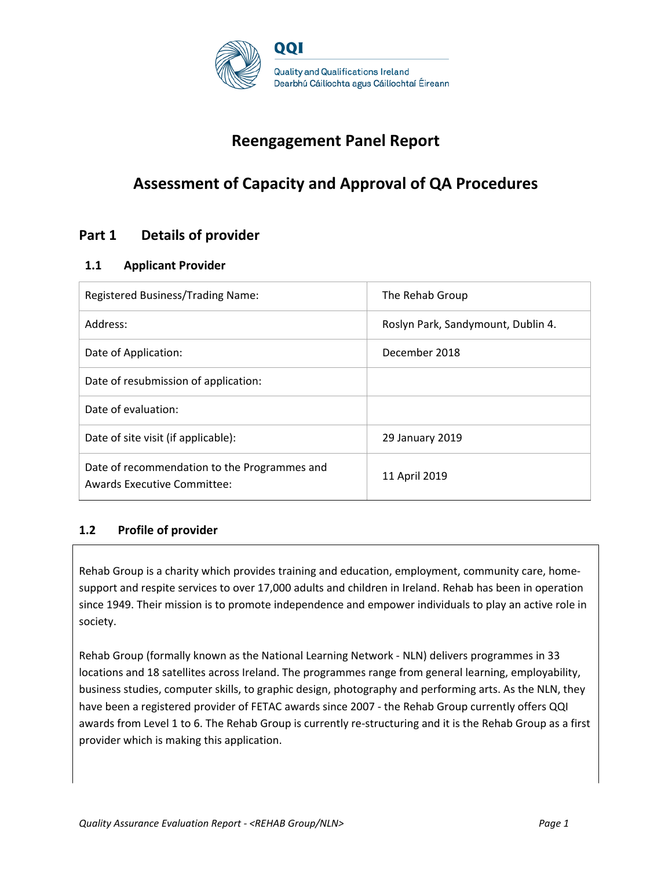

# **Reengagement Panel Report**

# **Assessment of Capacity and Approval of QA Procedures**

## **Part 1 Details of provider**

### **1.1 Applicant Provider**

| Registered Business/Trading Name:                                                  | The Rehab Group                    |
|------------------------------------------------------------------------------------|------------------------------------|
| Address:                                                                           | Roslyn Park, Sandymount, Dublin 4. |
| Date of Application:                                                               | December 2018                      |
| Date of resubmission of application:                                               |                                    |
| Date of evaluation:                                                                |                                    |
| Date of site visit (if applicable):                                                | 29 January 2019                    |
| Date of recommendation to the Programmes and<br><b>Awards Executive Committee:</b> | 11 April 2019                      |

### **1.2 Profile of provider**

Rehab Group is a charity which provides training and education, employment, community care, homesupport and respite services to over 17,000 adults and children in Ireland. Rehab has been in operation since 1949. Their mission is to promote independence and empower individuals to play an active role in society.

Rehab Group (formally known as the National Learning Network - NLN) delivers programmes in 33 locations and 18 satellites across Ireland. The programmes range from general learning, employability, business studies, computer skills, to graphic design, photography and performing arts. As the NLN, they have been a registered provider of FETAC awards since 2007 - the Rehab Group currently offers QQI awards from Level 1 to 6. The Rehab Group is currently re-structuring and it is the Rehab Group as a first provider which is making this application.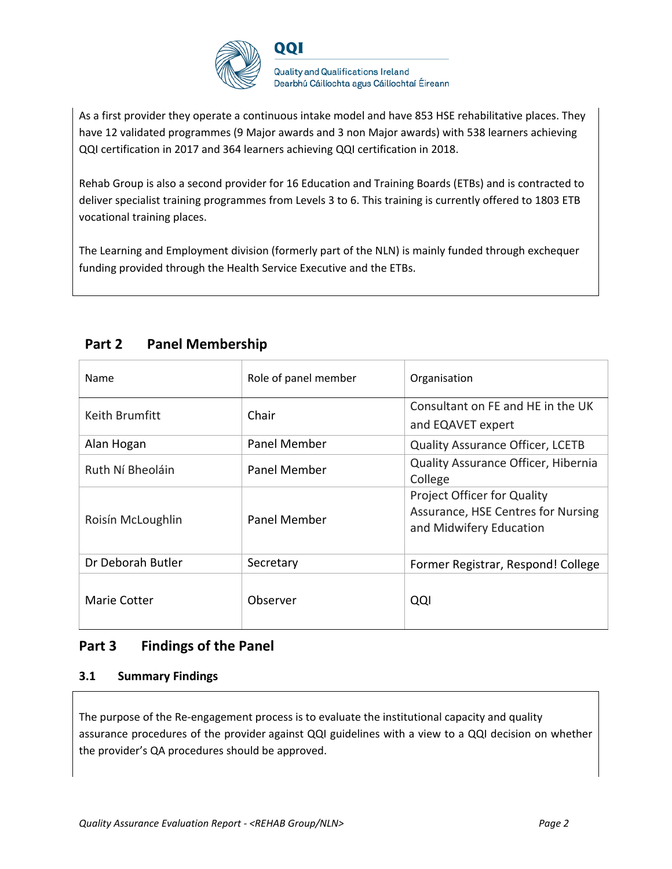

As a first provider they operate a continuous intake model and have 853 HSE rehabilitative places. They have 12 validated programmes (9 Major awards and 3 non Major awards) with 538 learners achieving QQI certification in 2017 and 364 learners achieving QQI certification in 2018.

Rehab Group is also a second provider for 16 Education and Training Boards (ETBs) and is contracted to deliver specialist training programmes from Levels 3 to 6. This training is currently offered to 1803 ETB vocational training places.

The Learning and Employment division (formerly part of the NLN) is mainly funded through exchequer funding provided through the Health Service Executive and the ETBs.

| Name              | Role of panel member | Organisation                                                                                        |
|-------------------|----------------------|-----------------------------------------------------------------------------------------------------|
| Keith Brumfitt    | Chair                | Consultant on FE and HE in the UK<br>and EQAVET expert                                              |
| Alan Hogan        | Panel Member         | <b>Quality Assurance Officer, LCETB</b>                                                             |
| Ruth Ní Bheoláin  | Panel Member         | Quality Assurance Officer, Hibernia<br>College                                                      |
| Roisín McLoughlin | Panel Member         | <b>Project Officer for Quality</b><br>Assurance, HSE Centres for Nursing<br>and Midwifery Education |
| Dr Deborah Butler | Secretary            | Former Registrar, Respond! College                                                                  |
| Marie Cotter      | Observer             | QQI                                                                                                 |

## **Part 2 Panel Membership**

## **Part 3 Findings of the Panel**

### **3.1 Summary Findings**

The purpose of the Re-engagement process is to evaluate the institutional capacity and quality assurance procedures of the provider against QQI guidelines with a view to a QQI decision on whether the provider's QA procedures should be approved.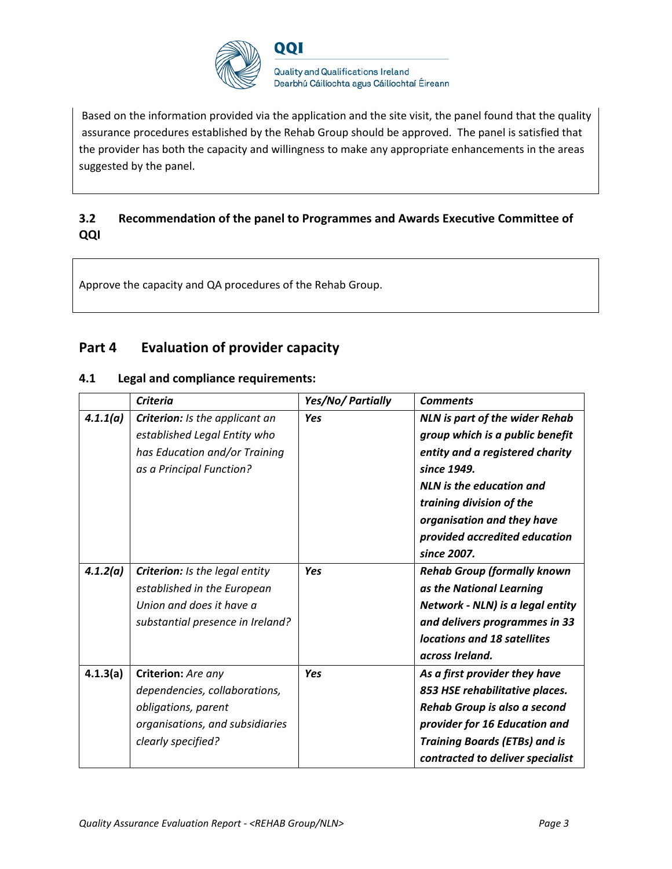

Based on the information provided via the application and the site visit, the panel found that the quality assurance procedures established by the Rehab Group should be approved. The panel is satisfied that the provider has both the capacity and willingness to make any appropriate enhancements in the areas suggested by the panel.

### **3.2 Recommendation of the panel to Programmes and Awards Executive Committee of QQI**

Approve the capacity and QA procedures of the Rehab Group.

### **Part 4 Evaluation of provider capacity**

#### **4.1 Legal and compliance requirements:**

|          | <b>Criteria</b>                                                                                                                      | Yes/No/ Partially | <b>Comments</b>                                                                                                                                                                                                                                                  |
|----------|--------------------------------------------------------------------------------------------------------------------------------------|-------------------|------------------------------------------------------------------------------------------------------------------------------------------------------------------------------------------------------------------------------------------------------------------|
| 4.1.1(a) | Criterion: Is the applicant an<br>established Legal Entity who<br>has Education and/or Training<br>as a Principal Function?          | <b>Yes</b>        | <b>NLN</b> is part of the wider Rehab<br>group which is a public benefit<br>entity and a registered charity<br>since 1949.<br>NLN is the education and<br>training division of the<br>organisation and they have<br>provided accredited education<br>since 2007. |
| 4.1.2(a) | <b>Criterion:</b> Is the legal entity<br>established in the European<br>Union and does it have a<br>substantial presence in Ireland? | Yes               | <b>Rehab Group (formally known</b><br>as the National Learning<br>Network - NLN) is a legal entity<br>and delivers programmes in 33<br>locations and 18 satellites<br>across Ireland.                                                                            |
| 4.1.3(a) | Criterion: Are any<br>dependencies, collaborations,<br>obligations, parent<br>organisations, and subsidiaries<br>clearly specified?  | Yes               | As a first provider they have<br>853 HSE rehabilitative places.<br>Rehab Group is also a second<br>provider for 16 Education and<br><b>Training Boards (ETBs) and is</b><br>contracted to deliver specialist                                                     |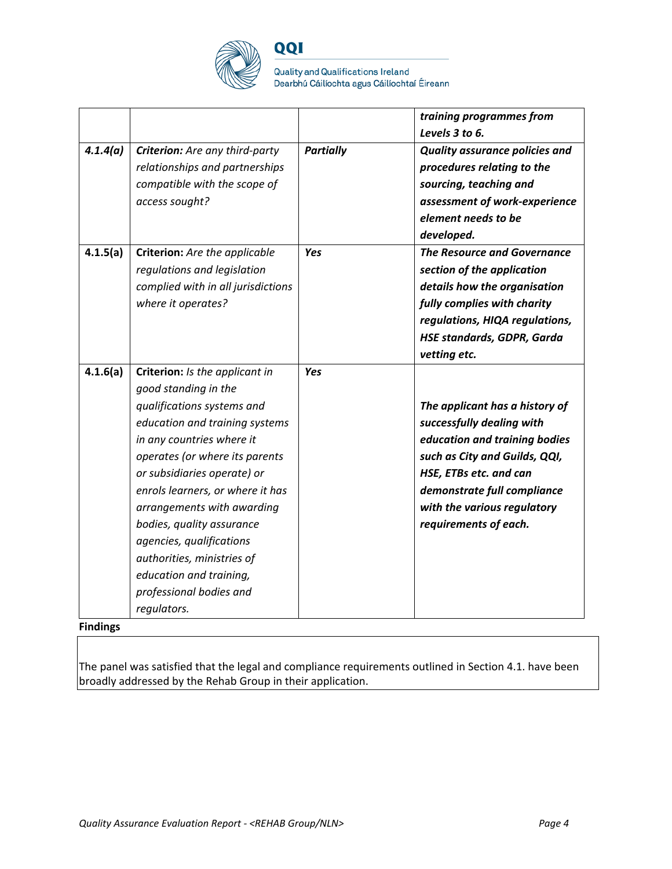

QQI

**Quality and Qualifications Ireland** Dearbhú Cáilíochta agus Cáilíochtaí Éireann

|          |                                                                                                                                                                                                                                                                                                                                                                                                                                                    |                  | training programmes from<br>Levels 3 to 6.                                                                                                                                                                                                     |
|----------|----------------------------------------------------------------------------------------------------------------------------------------------------------------------------------------------------------------------------------------------------------------------------------------------------------------------------------------------------------------------------------------------------------------------------------------------------|------------------|------------------------------------------------------------------------------------------------------------------------------------------------------------------------------------------------------------------------------------------------|
| 4.1.4(a) | Criterion: Are any third-party<br>relationships and partnerships<br>compatible with the scope of<br>access sought?                                                                                                                                                                                                                                                                                                                                 | <b>Partially</b> | <b>Quality assurance policies and</b><br>procedures relating to the<br>sourcing, teaching and<br>assessment of work-experience<br>element needs to be<br>developed.                                                                            |
| 4.1.5(a) | Criterion: Are the applicable<br>regulations and legislation<br>complied with in all jurisdictions<br>where it operates?                                                                                                                                                                                                                                                                                                                           | <b>Yes</b>       | The Resource and Governance<br>section of the application<br>details how the organisation<br>fully complies with charity<br>regulations, HIQA regulations,<br><b>HSE standards, GDPR, Garda</b><br>vetting etc.                                |
| 4.1.6(a) | Criterion: Is the applicant in<br>good standing in the<br>qualifications systems and<br>education and training systems<br>in any countries where it<br>operates (or where its parents<br>or subsidiaries operate) or<br>enrols learners, or where it has<br>arrangements with awarding<br>bodies, quality assurance<br>agencies, qualifications<br>authorities, ministries of<br>education and training,<br>professional bodies and<br>regulators. | <b>Yes</b>       | The applicant has a history of<br>successfully dealing with<br>education and training bodies<br>such as City and Guilds, QQI,<br>HSE, ETBs etc. and can<br>demonstrate full compliance<br>with the various regulatory<br>requirements of each. |

**Findings** 

The panel was satisfied that the legal and compliance requirements outlined in Section 4.1. have been broadly addressed by the Rehab Group in their application.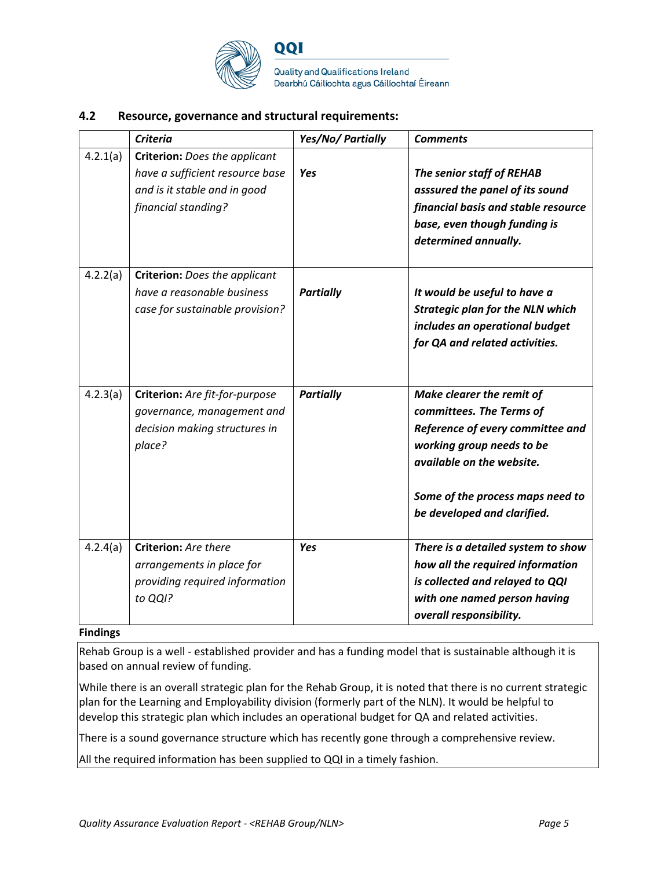

Quality and Qualifications Ireland Dearbhú Cáilíochta agus Cáilíochtaí Éireann

#### **4.2 Resource, governance and structural requirements:**

|          | <b>Criteria</b>                                                                                                                | Yes/No/ Partially | <b>Comments</b>                                                                                                                                                                                                        |
|----------|--------------------------------------------------------------------------------------------------------------------------------|-------------------|------------------------------------------------------------------------------------------------------------------------------------------------------------------------------------------------------------------------|
| 4.2.1(a) | <b>Criterion:</b> Does the applicant<br>have a sufficient resource base<br>and is it stable and in good<br>financial standing? | Yes               | The senior staff of REHAB<br>asssured the panel of its sound<br>financial basis and stable resource<br>base, even though funding is<br>determined annually.                                                            |
| 4.2.2(a) | <b>Criterion:</b> Does the applicant<br>have a reasonable business<br>case for sustainable provision?                          | <b>Partially</b>  | It would be useful to have a<br><b>Strategic plan for the NLN which</b><br>includes an operational budget<br>for QA and related activities.                                                                            |
| 4.2.3(a) | Criterion: Are fit-for-purpose<br>governance, management and<br>decision making structures in<br>place?                        | <b>Partially</b>  | Make clearer the remit of<br>committees. The Terms of<br>Reference of every committee and<br>working group needs to be<br>available on the website.<br>Some of the process maps need to<br>be developed and clarified. |
| 4.2.4(a) | Criterion: Are there<br>arrangements in place for<br>providing required information<br>to QQI?                                 | <b>Yes</b>        | There is a detailed system to show<br>how all the required information<br>is collected and relayed to QQI<br>with one named person having<br>overall responsibility.                                                   |

#### **Findings**

Rehab Group is a well - established provider and has a funding model that is sustainable although it is based on annual review of funding.

While there is an overall strategic plan for the Rehab Group, it is noted that there is no current strategic plan for the Learning and Employability division (formerly part of the NLN). It would be helpful to develop this strategic plan which includes an operational budget for QA and related activities.

There is a sound governance structure which has recently gone through a comprehensive review.

All the required information has been supplied to QQI in a timely fashion.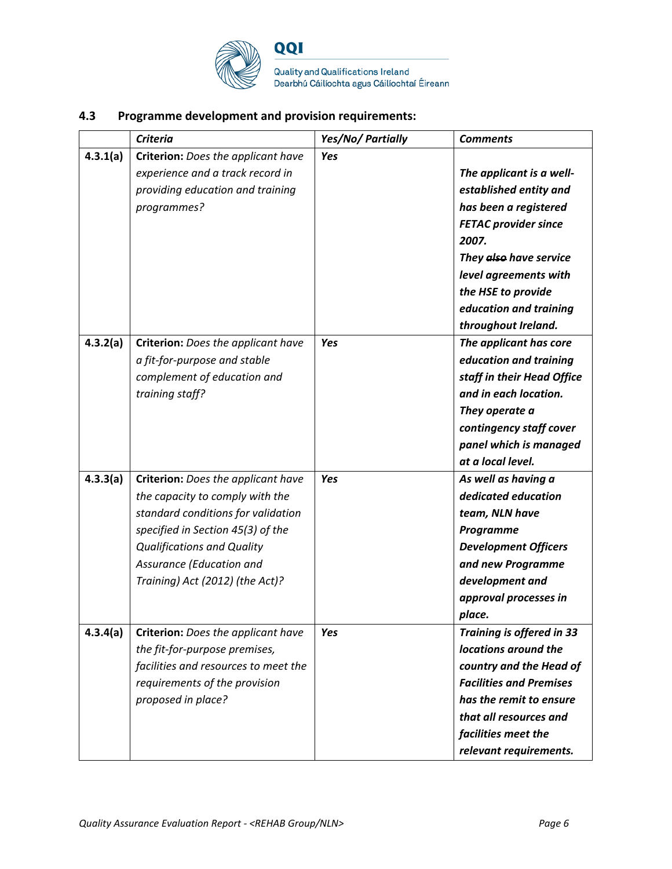

QQI Quality and Qualifications Ireland<br>Dearbhú Cáilíochta agus Cáilíochtaí Éireann

### **4.3 Programme development and provision requirements:**

|          | <b>Criteria</b>                                                                                                                                                                                                                                      | Yes/No/ Partially | <b>Comments</b>                                                                                                                                                                                                                               |
|----------|------------------------------------------------------------------------------------------------------------------------------------------------------------------------------------------------------------------------------------------------------|-------------------|-----------------------------------------------------------------------------------------------------------------------------------------------------------------------------------------------------------------------------------------------|
| 4.3.1(a) | Criterion: Does the applicant have<br>experience and a track record in<br>providing education and training<br>programmes?                                                                                                                            | <b>Yes</b>        | The applicant is a well-<br>established entity and<br>has been a registered<br><b>FETAC provider since</b><br>2007.<br>They also have service<br>level agreements with<br>the HSE to provide<br>education and training<br>throughout Ireland. |
| 4.3.2(a) | Criterion: Does the applicant have<br>a fit-for-purpose and stable<br>complement of education and<br>training staff?                                                                                                                                 | Yes               | The applicant has core<br>education and training<br>staff in their Head Office<br>and in each location.<br>They operate a<br>contingency staff cover<br>panel which is managed<br>at a local level.                                           |
| 4.3.3(a) | Criterion: Does the applicant have<br>the capacity to comply with the<br>standard conditions for validation<br>specified in Section 45(3) of the<br><b>Qualifications and Quality</b><br>Assurance (Education and<br>Training) Act (2012) (the Act)? | <b>Yes</b>        | As well as having a<br>dedicated education<br>team, NLN have<br>Programme<br><b>Development Officers</b><br>and new Programme<br>development and<br>approval processes in<br>place.                                                           |
| 4.3.4(a) | Criterion: Does the applicant have<br>the fit-for-purpose premises,<br>facilities and resources to meet the<br>requirements of the provision<br>proposed in place?                                                                                   | Yes               | <b>Training is offered in 33</b><br>locations around the<br>country and the Head of<br><b>Facilities and Premises</b><br>has the remit to ensure<br>that all resources and<br>facilities meet the<br>relevant requirements.                   |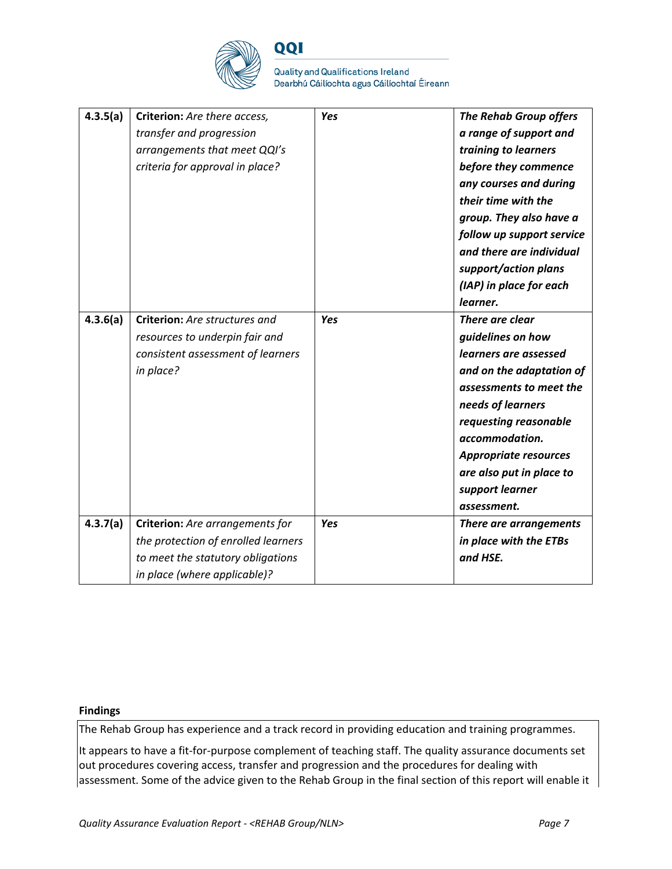

QQI

Quality and Qualifications Ireland Dearbhú Cáilíochta agus Cáilíochtaí Éireann

| 4.3.5(a)<br>4.3.6(a) | Criterion: Are there access,<br>transfer and progression<br>arrangements that meet QQI's<br>criteria for approval in place?<br>Criterion: Are structures and | Yes<br><b>Yes</b> | <b>The Rehab Group offers</b><br>a range of support and<br>training to learners<br>before they commence<br>any courses and during<br>their time with the<br>group. They also have a<br>follow up support service<br>and there are individual<br>support/action plans<br>(IAP) in place for each<br>learner.<br>There are clear |
|----------------------|--------------------------------------------------------------------------------------------------------------------------------------------------------------|-------------------|--------------------------------------------------------------------------------------------------------------------------------------------------------------------------------------------------------------------------------------------------------------------------------------------------------------------------------|
|                      | resources to underpin fair and                                                                                                                               |                   | guidelines on how                                                                                                                                                                                                                                                                                                              |
|                      | consistent assessment of learners                                                                                                                            |                   | learners are assessed                                                                                                                                                                                                                                                                                                          |
|                      | in place?                                                                                                                                                    |                   | and on the adaptation of                                                                                                                                                                                                                                                                                                       |
|                      |                                                                                                                                                              |                   | assessments to meet the                                                                                                                                                                                                                                                                                                        |
|                      |                                                                                                                                                              |                   | needs of learners<br>requesting reasonable                                                                                                                                                                                                                                                                                     |
|                      |                                                                                                                                                              |                   | accommodation.                                                                                                                                                                                                                                                                                                                 |
|                      |                                                                                                                                                              |                   | <b>Appropriate resources</b>                                                                                                                                                                                                                                                                                                   |
|                      |                                                                                                                                                              |                   | are also put in place to                                                                                                                                                                                                                                                                                                       |
|                      |                                                                                                                                                              |                   | support learner                                                                                                                                                                                                                                                                                                                |
|                      |                                                                                                                                                              |                   | assessment.                                                                                                                                                                                                                                                                                                                    |
| 4.3.7(a)             | Criterion: Are arrangements for                                                                                                                              | Yes               | There are arrangements                                                                                                                                                                                                                                                                                                         |
|                      | the protection of enrolled learners                                                                                                                          |                   | in place with the ETBs                                                                                                                                                                                                                                                                                                         |
|                      | to meet the statutory obligations                                                                                                                            |                   | and HSE.                                                                                                                                                                                                                                                                                                                       |
|                      | in place (where applicable)?                                                                                                                                 |                   |                                                                                                                                                                                                                                                                                                                                |

#### **Findings**

The Rehab Group has experience and a track record in providing education and training programmes.

It appears to have a fit-for-purpose complement of teaching staff. The quality assurance documents set out procedures covering access, transfer and progression and the procedures for dealing with assessment. Some of the advice given to the Rehab Group in the final section of this report will enable it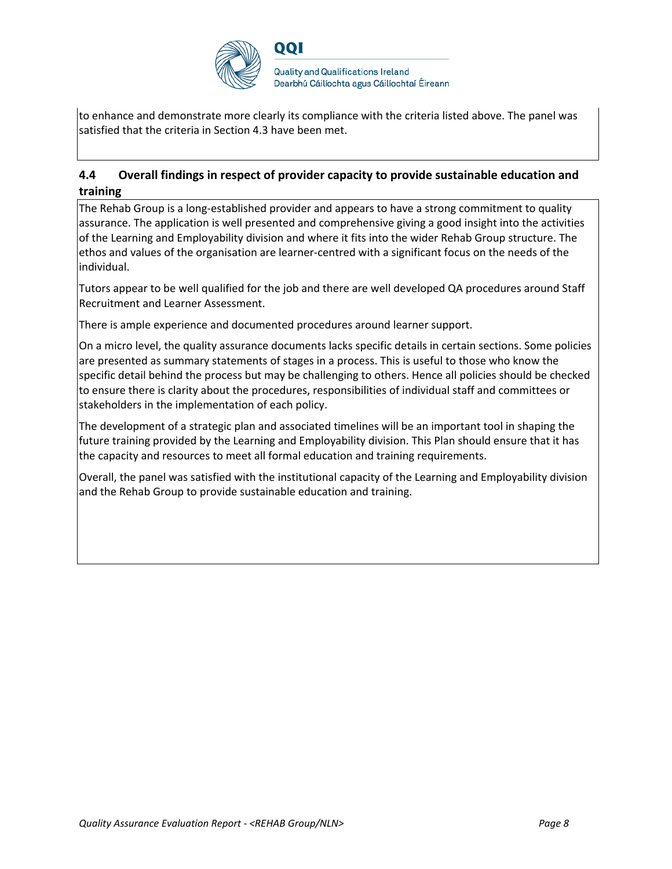

to enhance and demonstrate more clearly its compliance with the criteria listed above. The panel was satisfied that the criteria in Section 4.3 have been met.

### **4.4 Overall findings in respect of provider capacity to provide sustainable education and training**

The Rehab Group is a long-established provider and appears to have a strong commitment to quality assurance. The application is well presented and comprehensive giving a good insight into the activities of the Learning and Employability division and where it fits into the wider Rehab Group structure. The ethos and values of the organisation are learner-centred with a significant focus on the needs of the individual.

Tutors appear to be well qualified for the job and there are well developed QA procedures around Staff Recruitment and Learner Assessment.

There is ample experience and documented procedures around learner support.

On a micro level, the quality assurance documents lacks specific details in certain sections. Some policies are presented as summary statements of stages in a process. This is useful to those who know the specific detail behind the process but may be challenging to others. Hence all policies should be checked to ensure there is clarity about the procedures, responsibilities of individual staff and committees or stakeholders in the implementation of each policy.

The development of a strategic plan and associated timelines will be an important tool in shaping the future training provided by the Learning and Employability division. This Plan should ensure that it has the capacity and resources to meet all formal education and training requirements.

Overall, the panel was satisfied with the institutional capacity of the Learning and Employability division and the Rehab Group to provide sustainable education and training.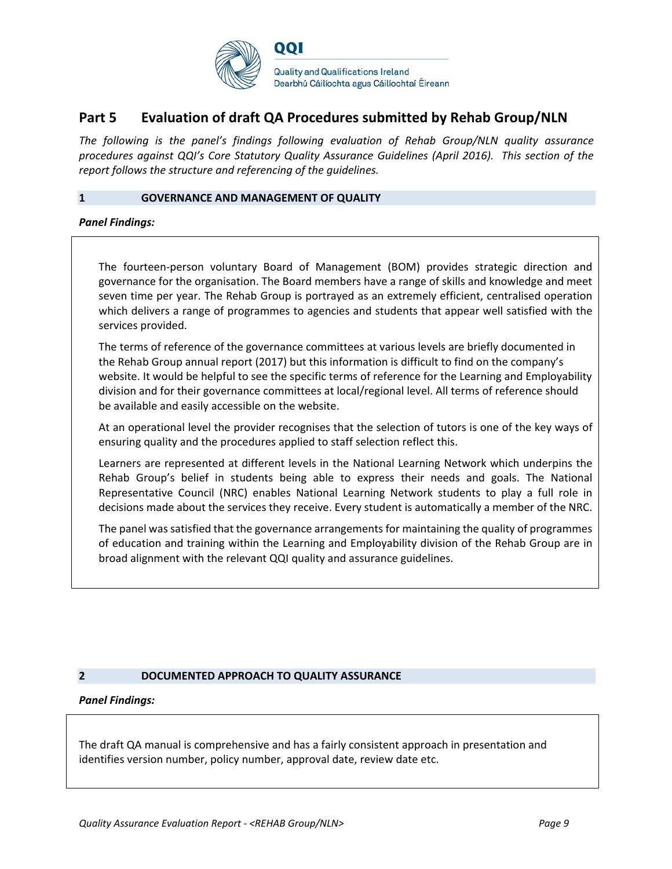

### **Part 5 Evaluation of draft QA Procedures submitted by Rehab Group/NLN**

*The following is the panel's findings following evaluation of Rehab Group/NLN quality assurance procedures against QQI's Core Statutory Quality Assurance Guidelines (April 2016). This section of the report follows the structure and referencing of the guidelines.* 

#### **1 GOVERNANCE AND MANAGEMENT OF QUALITY**

*Panel Findings:*

The fourteen-person voluntary Board of Management (BOM) provides strategic direction and governance for the organisation. The Board members have a range of skills and knowledge and meet seven time per year. The Rehab Group is portrayed as an extremely efficient, centralised operation which delivers a range of programmes to agencies and students that appear well satisfied with the services provided.

The terms of reference of the governance committees at various levels are briefly documented in the Rehab Group annual report (2017) but this information is difficult to find on the company's website. It would be helpful to see the specific terms of reference for the Learning and Employability division and for their governance committees at local/regional level. All terms of reference should be available and easily accessible on the website.

At an operational level the provider recognises that the selection of tutors is one of the key ways of ensuring quality and the procedures applied to staff selection reflect this.

Learners are represented at different levels in the National Learning Network which underpins the Rehab Group's belief in students being able to express their needs and goals. The National Representative Council (NRC) enables National Learning Network students to play a full role in decisions made about the services they receive. Every student is automatically a member of the NRC.

The panel was satisfied that the governance arrangements for maintaining the quality of programmes of education and training within the Learning and Employability division of the Rehab Group are in broad alignment with the relevant QQI quality and assurance guidelines.

#### **2 DOCUMENTED APPROACH TO QUALITY ASSURANCE**

#### *Panel Findings:*

The draft QA manual is comprehensive and has a fairly consistent approach in presentation and identifies version number, policy number, approval date, review date etc.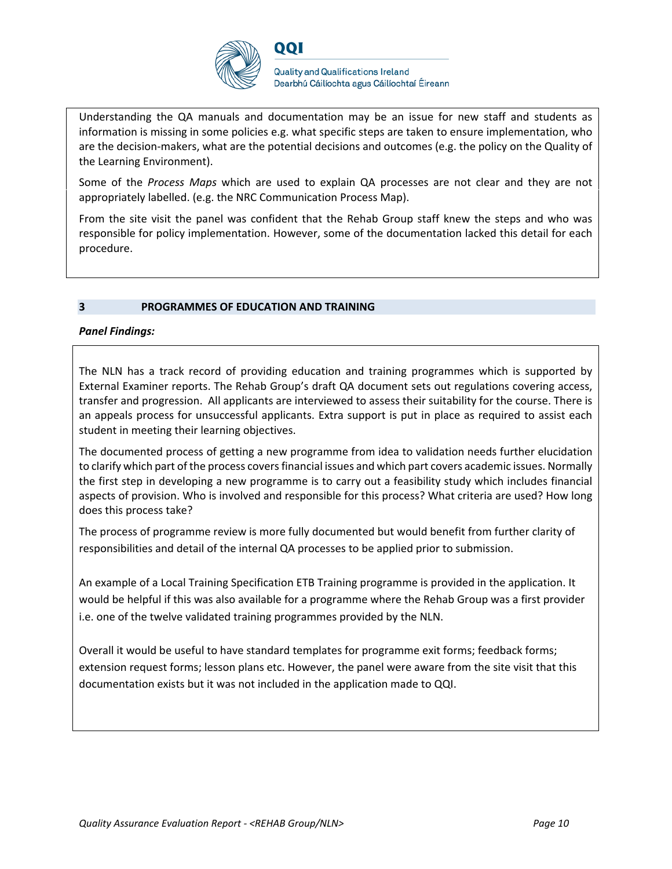

OOI

Understanding the QA manuals and documentation may be an issue for new staff and students as information is missing in some policies e.g. what specific steps are taken to ensure implementation, who are the decision-makers, what are the potential decisions and outcomes (e.g. the policy on the Quality of the Learning Environment).

Some of the *Process Maps* which are used to explain QA processes are not clear and they are not appropriately labelled. (e.g. the NRC Communication Process Map).

From the site visit the panel was confident that the Rehab Group staff knew the steps and who was responsible for policy implementation. However, some of the documentation lacked this detail for each procedure.

#### **3 PROGRAMMES OF EDUCATION AND TRAINING**

#### *Panel Findings:*

The NLN has a track record of providing education and training programmes which is supported by External Examiner reports. The Rehab Group's draft QA document sets out regulations covering access, transfer and progression. All applicants are interviewed to assess their suitability for the course. There is an appeals process for unsuccessful applicants. Extra support is put in place as required to assist each student in meeting their learning objectives.

The documented process of getting a new programme from idea to validation needs further elucidation to clarify which part of the process covers financial issues and which part covers academic issues. Normally the first step in developing a new programme is to carry out a feasibility study which includes financial aspects of provision. Who is involved and responsible for this process? What criteria are used? How long does this process take?

The process of programme review is more fully documented but would benefit from further clarity of responsibilities and detail of the internal QA processes to be applied prior to submission.

An example of a Local Training Specification ETB Training programme is provided in the application. It would be helpful if this was also available for a programme where the Rehab Group was a first provider i.e. one of the twelve validated training programmes provided by the NLN.

Overall it would be useful to have standard templates for programme exit forms; feedback forms; extension request forms; lesson plans etc. However, the panel were aware from the site visit that this documentation exists but it was not included in the application made to QQI.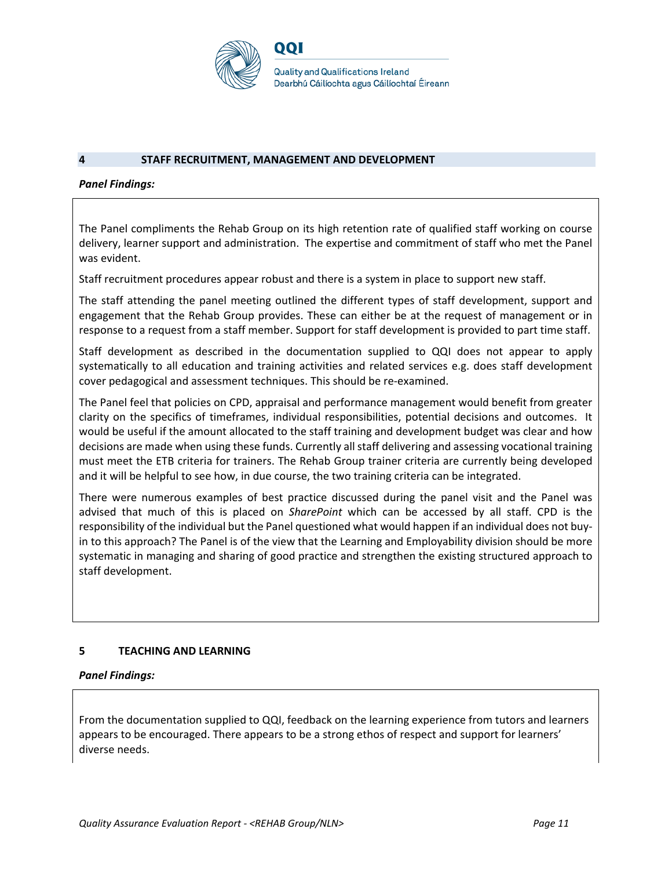

#### **4 STAFF RECRUITMENT, MANAGEMENT AND DEVELOPMENT**

#### *Panel Findings:*

The Panel compliments the Rehab Group on its high retention rate of qualified staff working on course delivery, learner support and administration. The expertise and commitment of staff who met the Panel was evident.

Staff recruitment procedures appear robust and there is a system in place to support new staff.

The staff attending the panel meeting outlined the different types of staff development, support and engagement that the Rehab Group provides. These can either be at the request of management or in response to a request from a staff member. Support for staff development is provided to part time staff.

Staff development as described in the documentation supplied to QQI does not appear to apply systematically to all education and training activities and related services e.g. does staff development cover pedagogical and assessment techniques. This should be re-examined.

The Panel feel that policies on CPD, appraisal and performance management would benefit from greater clarity on the specifics of timeframes, individual responsibilities, potential decisions and outcomes. It would be useful if the amount allocated to the staff training and development budget was clear and how decisions are made when using these funds. Currently all staff delivering and assessing vocational training must meet the ETB criteria for trainers. The Rehab Group trainer criteria are currently being developed and it will be helpful to see how, in due course, the two training criteria can be integrated.

There were numerous examples of best practice discussed during the panel visit and the Panel was advised that much of this is placed on *SharePoint* which can be accessed by all staff. CPD is the responsibility of the individual but the Panel questioned what would happen if an individual does not buyin to this approach? The Panel is of the view that the Learning and Employability division should be more systematic in managing and sharing of good practice and strengthen the existing structured approach to staff development.

#### **5 TEACHING AND LEARNING**

#### *Panel Findings:*

From the documentation supplied to QQI, feedback on the learning experience from tutors and learners appears to be encouraged. There appears to be a strong ethos of respect and support for learners' diverse needs.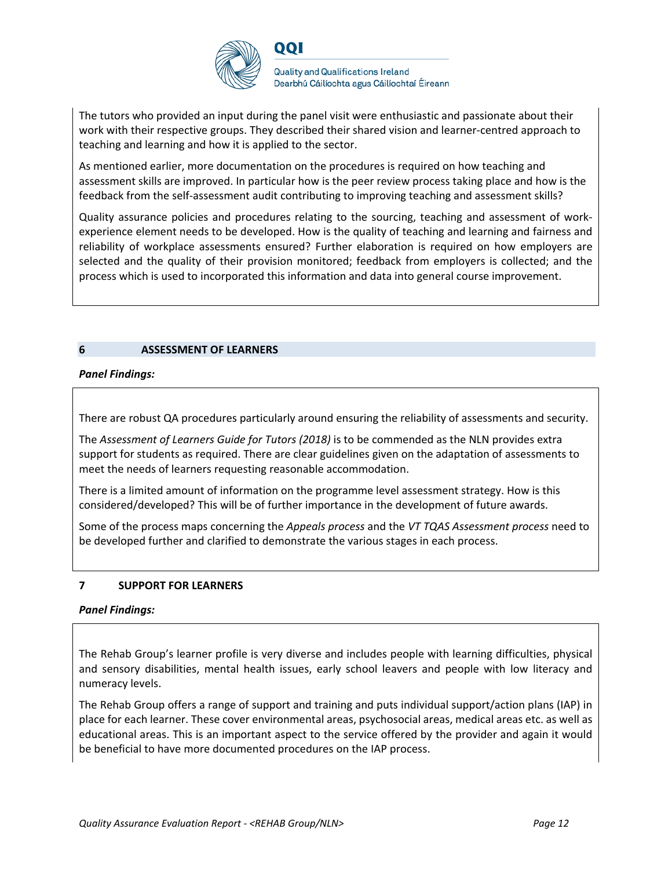

The tutors who provided an input during the panel visit were enthusiastic and passionate about their work with their respective groups. They described their shared vision and learner-centred approach to teaching and learning and how it is applied to the sector.

As mentioned earlier, more documentation on the procedures is required on how teaching and assessment skills are improved. In particular how is the peer review process taking place and how is the feedback from the self-assessment audit contributing to improving teaching and assessment skills?

Quality assurance policies and procedures relating to the sourcing, teaching and assessment of workexperience element needs to be developed. How is the quality of teaching and learning and fairness and reliability of workplace assessments ensured? Further elaboration is required on how employers are selected and the quality of their provision monitored; feedback from employers is collected; and the process which is used to incorporated this information and data into general course improvement.

#### **6 ASSESSMENT OF LEARNERS**

#### *Panel Findings:*

There are robust QA procedures particularly around ensuring the reliability of assessments and security.

The *Assessment of Learners Guide for Tutors (2018)* is to be commended as the NLN provides extra support for students as required. There are clear guidelines given on the adaptation of assessments to meet the needs of learners requesting reasonable accommodation.

There is a limited amount of information on the programme level assessment strategy. How is this considered/developed? This will be of further importance in the development of future awards.

Some of the process maps concerning the *Appeals process* and the *VT TQAS Assessment process* need to be developed further and clarified to demonstrate the various stages in each process.

#### **7 SUPPORT FOR LEARNERS**

#### *Panel Findings:*

The Rehab Group's learner profile is very diverse and includes people with learning difficulties, physical and sensory disabilities, mental health issues, early school leavers and people with low literacy and numeracy levels.

The Rehab Group offers a range of support and training and puts individual support/action plans (IAP) in place for each learner. These cover environmental areas, psychosocial areas, medical areas etc. as well as educational areas. This is an important aspect to the service offered by the provider and again it would be beneficial to have more documented procedures on the IAP process.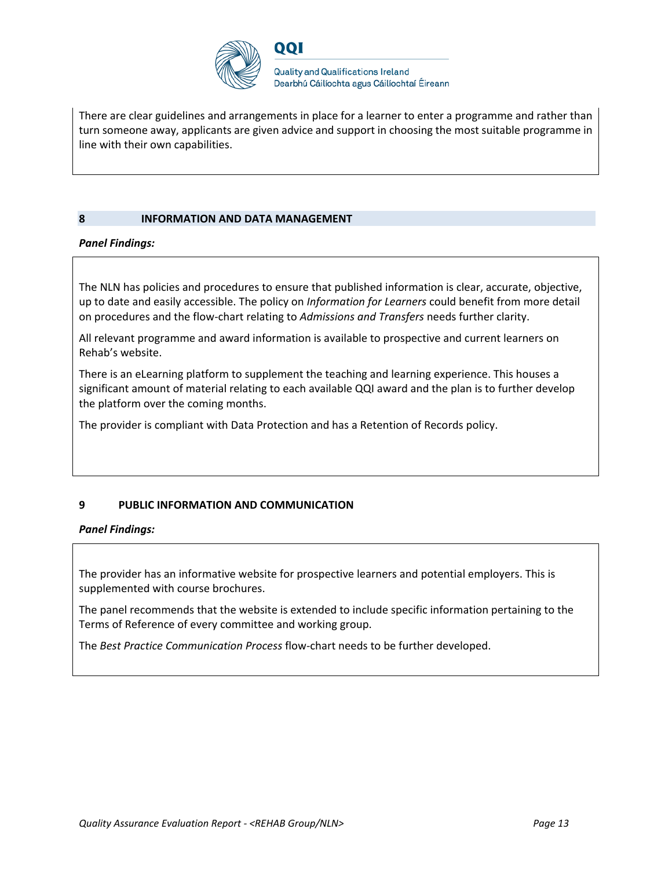

There are clear guidelines and arrangements in place for a learner to enter a programme and rather than turn someone away, applicants are given advice and support in choosing the most suitable programme in line with their own capabilities.

#### **8 INFORMATION AND DATA MANAGEMENT**

#### *Panel Findings:*

The NLN has policies and procedures to ensure that published information is clear, accurate, objective, up to date and easily accessible. The policy on *Information for Learners* could benefit from more detail on procedures and the flow-chart relating to *Admissions and Transfers* needs further clarity.

All relevant programme and award information is available to prospective and current learners on Rehab's website.

There is an eLearning platform to supplement the teaching and learning experience. This houses a significant amount of material relating to each available QQI award and the plan is to further develop the platform over the coming months.

The provider is compliant with Data Protection and has a Retention of Records policy.

#### **9 PUBLIC INFORMATION AND COMMUNICATION**

#### *Panel Findings:*

The provider has an informative website for prospective learners and potential employers. This is supplemented with course brochures.

The panel recommends that the website is extended to include specific information pertaining to the Terms of Reference of every committee and working group.

The *Best Practice Communication Process* flow-chart needs to be further developed.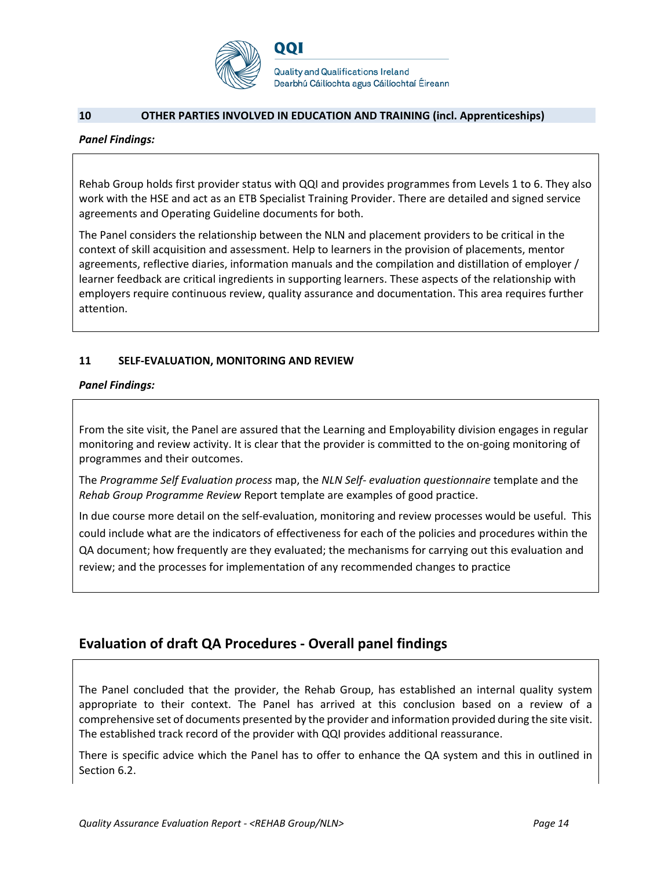

**Quality and Qualifications Ireland** Dearbhú Cáilíochta agus Cáilíochtaí Éireann

#### **10 OTHER PARTIES INVOLVED IN EDUCATION AND TRAINING (incl. Apprenticeships)**

QQI

#### *Panel Findings:*

Rehab Group holds first provider status with QQI and provides programmes from Levels 1 to 6. They also work with the HSE and act as an ETB Specialist Training Provider. There are detailed and signed service agreements and Operating Guideline documents for both.

The Panel considers the relationship between the NLN and placement providers to be critical in the context of skill acquisition and assessment. Help to learners in the provision of placements, mentor agreements, reflective diaries, information manuals and the compilation and distillation of employer / learner feedback are critical ingredients in supporting learners. These aspects of the relationship with employers require continuous review, quality assurance and documentation. This area requires further attention.

#### **11 SELF-EVALUATION, MONITORING AND REVIEW**

*Panel Findings:*

From the site visit, the Panel are assured that the Learning and Employability division engages in regular monitoring and review activity. It is clear that the provider is committed to the on-going monitoring of programmes and their outcomes.

The *Programme Self Evaluation process* map, the *NLN Self- evaluation questionnaire* template and the *Rehab Group Programme Review* Report template are examples of good practice.

In due course more detail on the self-evaluation, monitoring and review processes would be useful. This could include what are the indicators of effectiveness for each of the policies and procedures within the QA document; how frequently are they evaluated; the mechanisms for carrying out this evaluation and review; and the processes for implementation of any recommended changes to practice

### **Evaluation of draft QA Procedures - Overall panel findings**

The Panel concluded that the provider, the Rehab Group, has established an internal quality system appropriate to their context. The Panel has arrived at this conclusion based on a review of a comprehensive set of documents presented by the provider and information provided during the site visit. The established track record of the provider with QQI provides additional reassurance.

There is specific advice which the Panel has to offer to enhance the QA system and this in outlined in Section 6.2.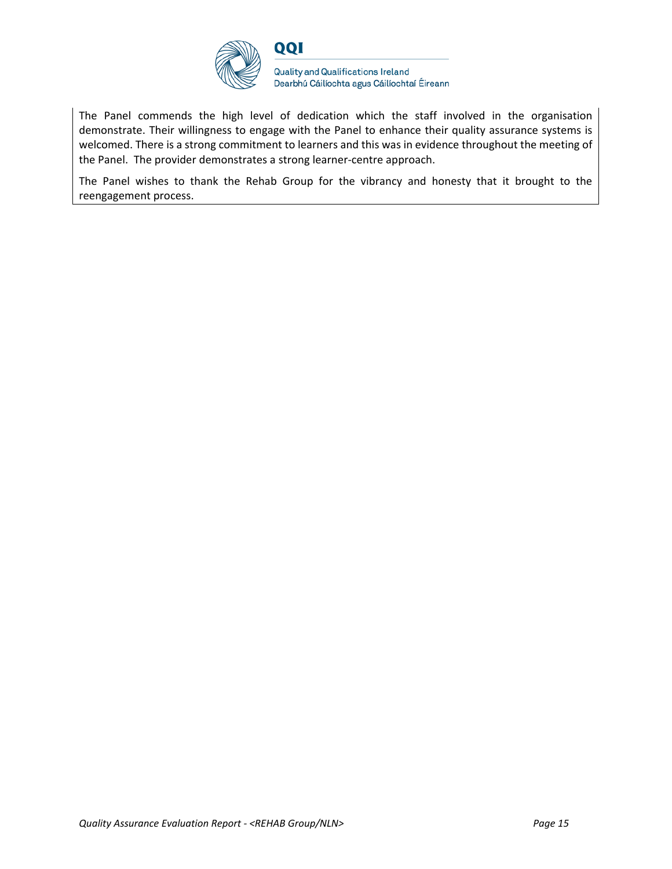

The Panel commends the high level of dedication which the staff involved in the organisation demonstrate. Their willingness to engage with the Panel to enhance their quality assurance systems is welcomed. There is a strong commitment to learners and this was in evidence throughout the meeting of the Panel. The provider demonstrates a strong learner-centre approach.

The Panel wishes to thank the Rehab Group for the vibrancy and honesty that it brought to the reengagement process.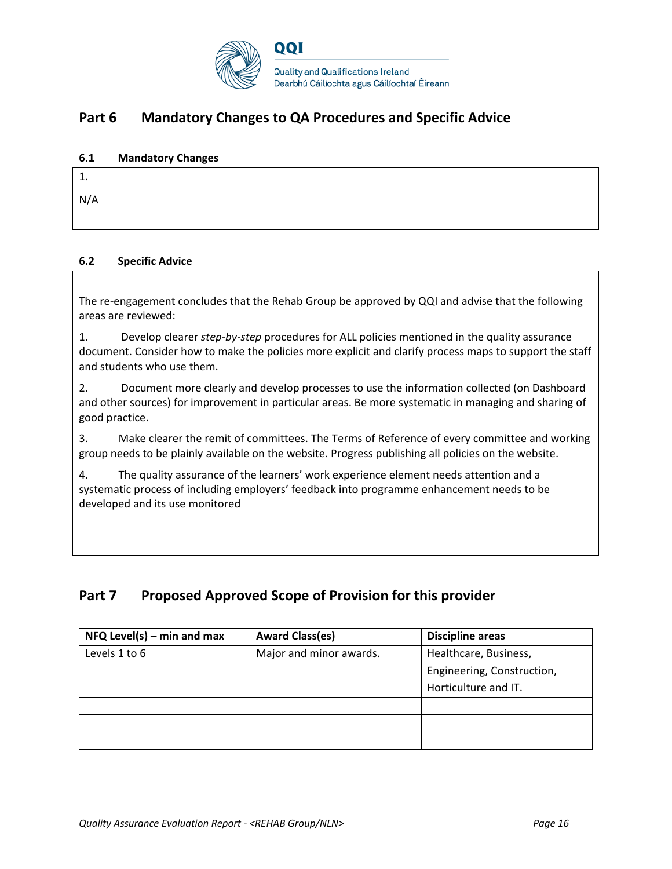

## **Part 6 Mandatory Changes to QA Procedures and Specific Advice**

#### **6.1 Mandatory Changes**

| 1.  |  |  |
|-----|--|--|
| N/A |  |  |
|     |  |  |

#### **6.2 Specific Advice**

The re-engagement concludes that the Rehab Group be approved by QQI and advise that the following areas are reviewed:

1. Develop clearer *step-by-step* procedures for ALL policies mentioned in the quality assurance document. Consider how to make the policies more explicit and clarify process maps to support the staff and students who use them.

2. Document more clearly and develop processes to use the information collected (on Dashboard and other sources) for improvement in particular areas. Be more systematic in managing and sharing of good practice.

3. Make clearer the remit of committees. The Terms of Reference of every committee and working group needs to be plainly available on the website. Progress publishing all policies on the website.

4. The quality assurance of the learners' work experience element needs attention and a systematic process of including employers' feedback into programme enhancement needs to be developed and its use monitored

## **Part 7 Proposed Approved Scope of Provision for this provider**

| $NFA$ Level(s) – min and max | <b>Award Class(es)</b>  | <b>Discipline areas</b>    |
|------------------------------|-------------------------|----------------------------|
| Levels 1 to 6                | Major and minor awards. | Healthcare, Business,      |
|                              |                         | Engineering, Construction, |
|                              |                         | Horticulture and IT.       |
|                              |                         |                            |
|                              |                         |                            |
|                              |                         |                            |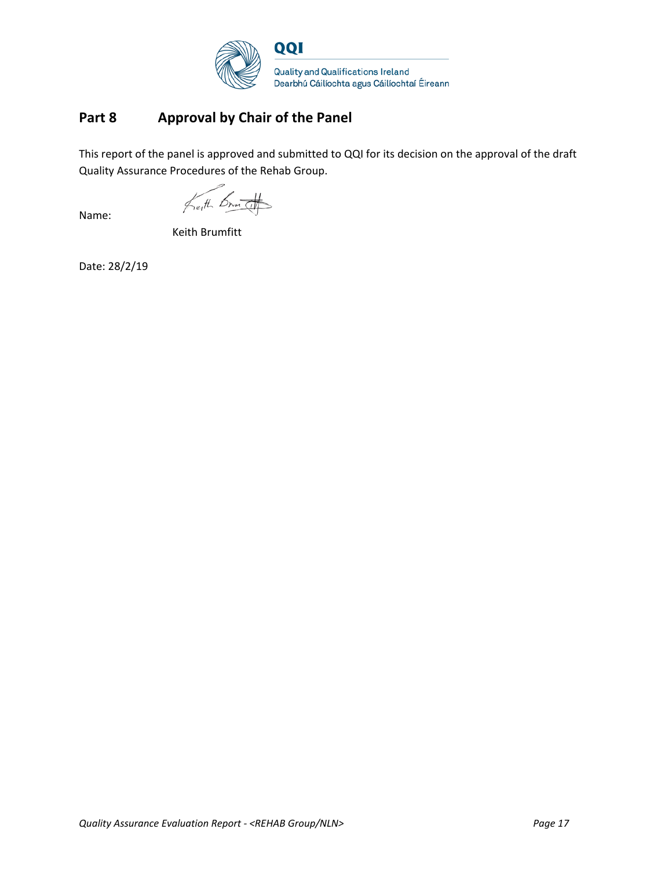

## **Part 8 Approval by Chair of the Panel**

This report of the panel is approved and submitted to QQI for its decision on the approval of the draft Quality Assurance Procedures of the Rehab Group.

Keith Brutt

Name:

Keith Brumfitt

Date: 28/2/19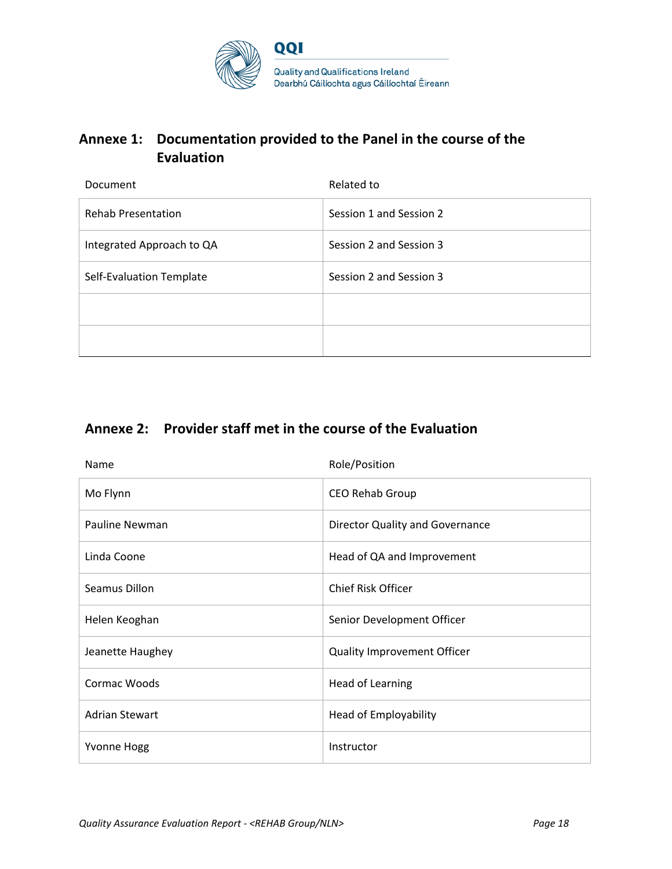

## **Annexe 1: Documentation provided to the Panel in the course of the Evaluation**

| Document                  | Related to              |
|---------------------------|-------------------------|
| <b>Rehab Presentation</b> | Session 1 and Session 2 |
| Integrated Approach to QA | Session 2 and Session 3 |
| Self-Evaluation Template  | Session 2 and Session 3 |
|                           |                         |
|                           |                         |

## **Annexe 2: Provider staff met in the course of the Evaluation**

| Name                  | Role/Position                      |
|-----------------------|------------------------------------|
| Mo Flynn              | CEO Rehab Group                    |
| Pauline Newman        | Director Quality and Governance    |
| Linda Coone           | Head of QA and Improvement         |
| Seamus Dillon         | <b>Chief Risk Officer</b>          |
| Helen Keoghan         | Senior Development Officer         |
| Jeanette Haughey      | <b>Quality Improvement Officer</b> |
| Cormac Woods          | <b>Head of Learning</b>            |
| <b>Adrian Stewart</b> | Head of Employability              |
| <b>Yvonne Hogg</b>    | Instructor                         |